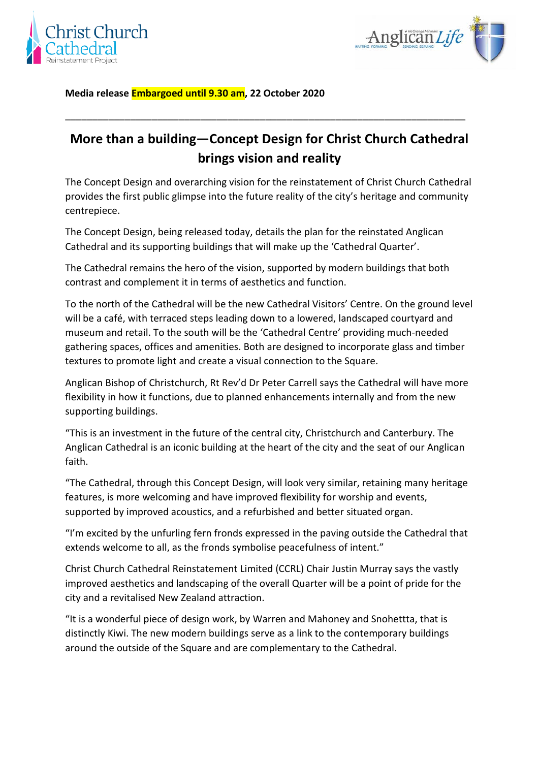



**Media release Embargoed until 9.30 am, 22 October 2020**

## **More than a building—Concept Design for Christ Church Cathedral brings vision and reality**

\_\_\_\_\_\_\_\_\_\_\_\_\_\_\_\_\_\_\_\_\_\_\_\_\_\_\_\_\_\_\_\_\_\_\_\_\_\_\_\_\_\_\_\_\_\_\_\_\_\_\_\_\_\_\_\_\_\_\_\_\_\_\_\_\_\_\_\_\_\_\_\_\_\_

The Concept Design and overarching vision for the reinstatement of Christ Church Cathedral provides the first public glimpse into the future reality of the city's heritage and community centrepiece.

The Concept Design, being released today, details the plan for the reinstated Anglican Cathedral and its supporting buildings that will make up the 'Cathedral Quarter'.

The Cathedral remains the hero of the vision, supported by modern buildings that both contrast and complement it in terms of aesthetics and function.

To the north of the Cathedral will be the new Cathedral Visitors' Centre. On the ground level will be a café, with terraced steps leading down to a lowered, landscaped courtyard and museum and retail. To the south will be the 'Cathedral Centre' providing much-needed gathering spaces, offices and amenities. Both are designed to incorporate glass and timber textures to promote light and create a visual connection to the Square.

Anglican Bishop of Christchurch, Rt Rev'd Dr Peter Carrell says the Cathedral will have more flexibility in how it functions, due to planned enhancements internally and from the new supporting buildings.

"This is an investment in the future of the central city, Christchurch and Canterbury. The Anglican Cathedral is an iconic building at the heart of the city and the seat of our Anglican faith.

"The Cathedral, through this Concept Design, will look very similar, retaining many heritage features, is more welcoming and have improved flexibility for worship and events, supported by improved acoustics, and a refurbished and better situated organ.

"I'm excited by the unfurling fern fronds expressed in the paving outside the Cathedral that extends welcome to all, as the fronds symbolise peacefulness of intent."

Christ Church Cathedral Reinstatement Limited (CCRL) Chair Justin Murray says the vastly improved aesthetics and landscaping of the overall Quarter will be a point of pride for the city and a revitalised New Zealand attraction.

"It is a wonderful piece of design work, by Warren and Mahoney and Snohettta, that is distinctly Kiwi. The new modern buildings serve as a link to the contemporary buildings around the outside of the Square and are complementary to the Cathedral.